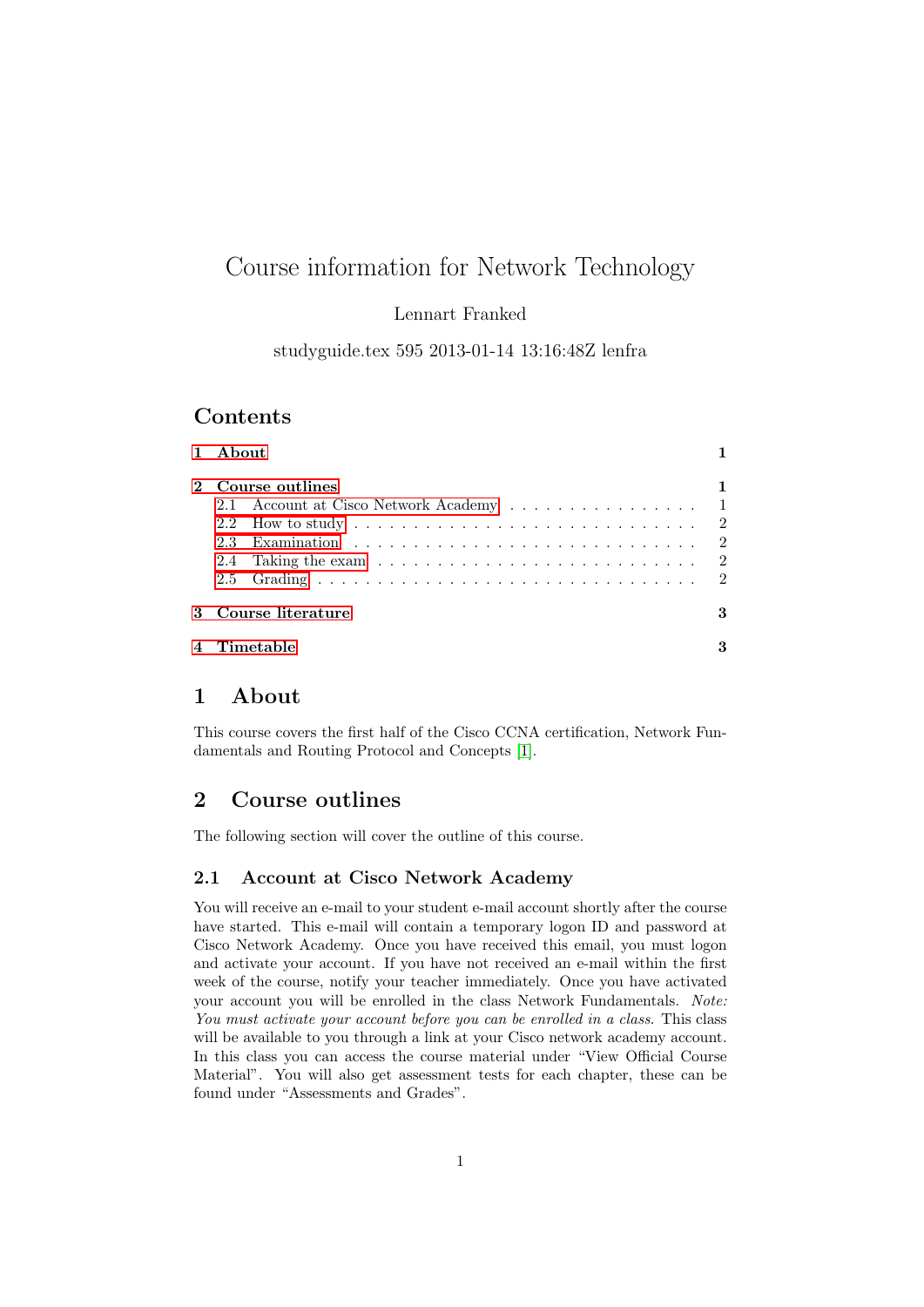# Course information for Network Technology

### Lennart Franked

studyguide.tex 595 2013-01-14 13:16:48Z lenfra

## Contents

| 1 About                                                                                                                                               |   |
|-------------------------------------------------------------------------------------------------------------------------------------------------------|---|
| 2 Course outlines<br>2.1 Account at Cisco Network Academy 1<br>2.4 Taking the exam $\ldots \ldots \ldots \ldots \ldots \ldots \ldots \ldots \ldots 2$ | 1 |
| 3 Course literature                                                                                                                                   | 3 |
| $4$ Timetable                                                                                                                                         | 3 |

### <span id="page-0-0"></span>1 About

This course covers the first half of the Cisco CCNA certification, Network Fundamentals and Routing Protocol and Concepts [\[1\]](#page-2-2).

### <span id="page-0-1"></span>2 Course outlines

The following section will cover the outline of this course.

#### <span id="page-0-2"></span>2.1 Account at Cisco Network Academy

You will receive an e-mail to your student e-mail account shortly after the course have started. This e-mail will contain a temporary logon ID and password at Cisco Network Academy. Once you have received this email, you must logon and activate your account. If you have not received an e-mail within the first week of the course, notify your teacher immediately. Once you have activated your account you will be enrolled in the class Network Fundamentals. Note: You must activate your account before you can be enrolled in a class. This class will be available to you through a link at your Cisco network academy account. In this class you can access the course material under "View Official Course Material". You will also get assessment tests for each chapter, these can be found under "Assessments and Grades".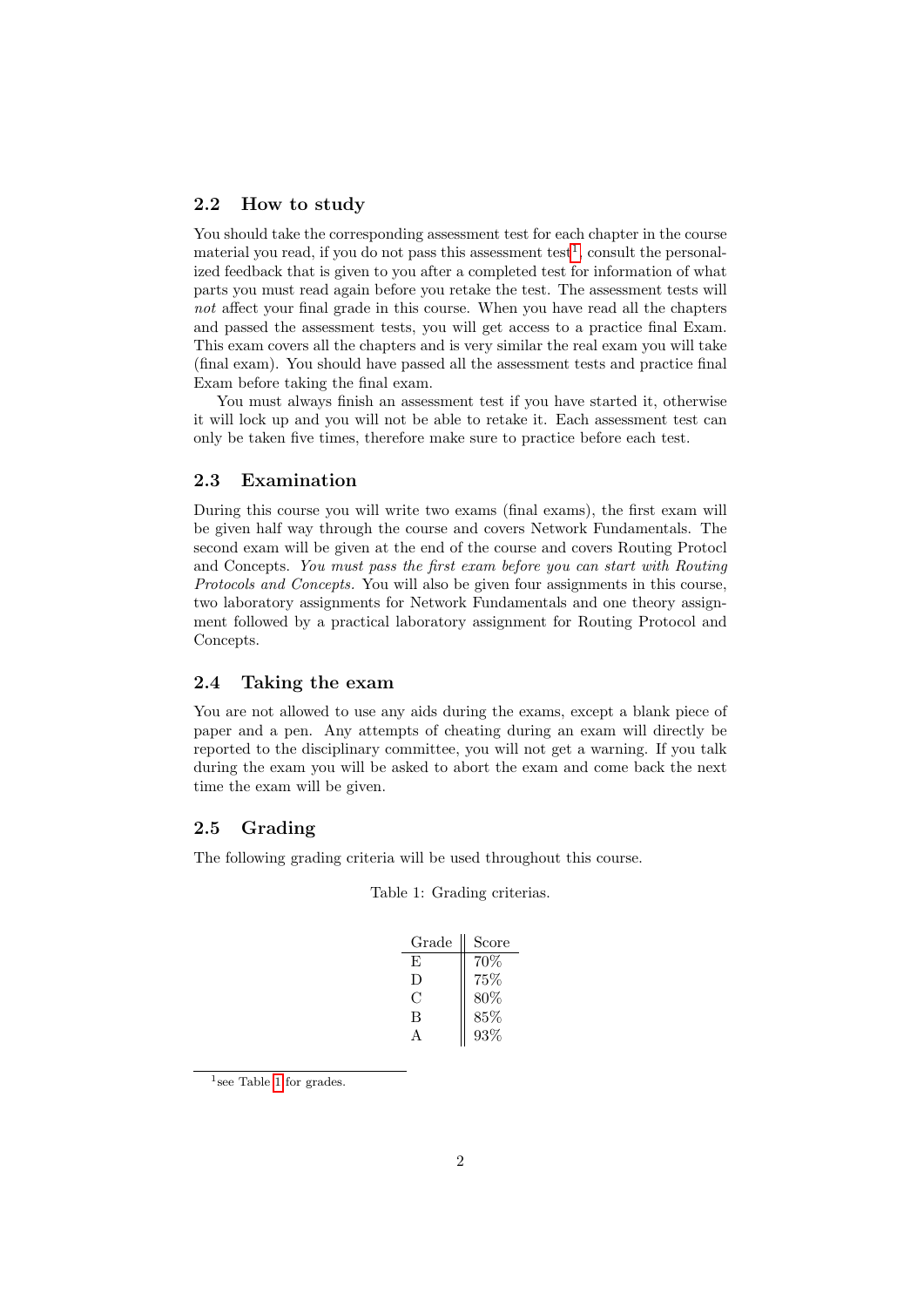#### <span id="page-1-0"></span>2.2 How to study

You should take the corresponding assessment test for each chapter in the course material you read, if you do not pass this assessment test<sup>[1](#page-1-4)</sup>, consult the personalized feedback that is given to you after a completed test for information of what parts you must read again before you retake the test. The assessment tests will not affect your final grade in this course. When you have read all the chapters and passed the assessment tests, you will get access to a practice final Exam. This exam covers all the chapters and is very similar the real exam you will take (final exam). You should have passed all the assessment tests and practice final Exam before taking the final exam.

You must always finish an assessment test if you have started it, otherwise it will lock up and you will not be able to retake it. Each assessment test can only be taken five times, therefore make sure to practice before each test.

#### <span id="page-1-1"></span>2.3 Examination

During this course you will write two exams (final exams), the first exam will be given half way through the course and covers Network Fundamentals. The second exam will be given at the end of the course and covers Routing Protocl and Concepts. You must pass the first exam before you can start with Routing Protocols and Concepts. You will also be given four assignments in this course, two laboratory assignments for Network Fundamentals and one theory assignment followed by a practical laboratory assignment for Routing Protocol and Concepts.

#### <span id="page-1-2"></span>2.4 Taking the exam

You are not allowed to use any aids during the exams, except a blank piece of paper and a pen. Any attempts of cheating during an exam will directly be reported to the disciplinary committee, you will not get a warning. If you talk during the exam you will be asked to abort the exam and come back the next time the exam will be given.

#### <span id="page-1-3"></span>2.5 Grading

<span id="page-1-5"></span>The following grading criteria will be used throughout this course.

| Grade | Score |
|-------|-------|
| F,    | 70\%  |
| Ð     | 75%   |
| €     | 80\%  |
| В     | 85%   |
|       | 93%   |

Table 1: Grading criterias.

<span id="page-1-4"></span><sup>1</sup> see Table [1](#page-1-5) for grades.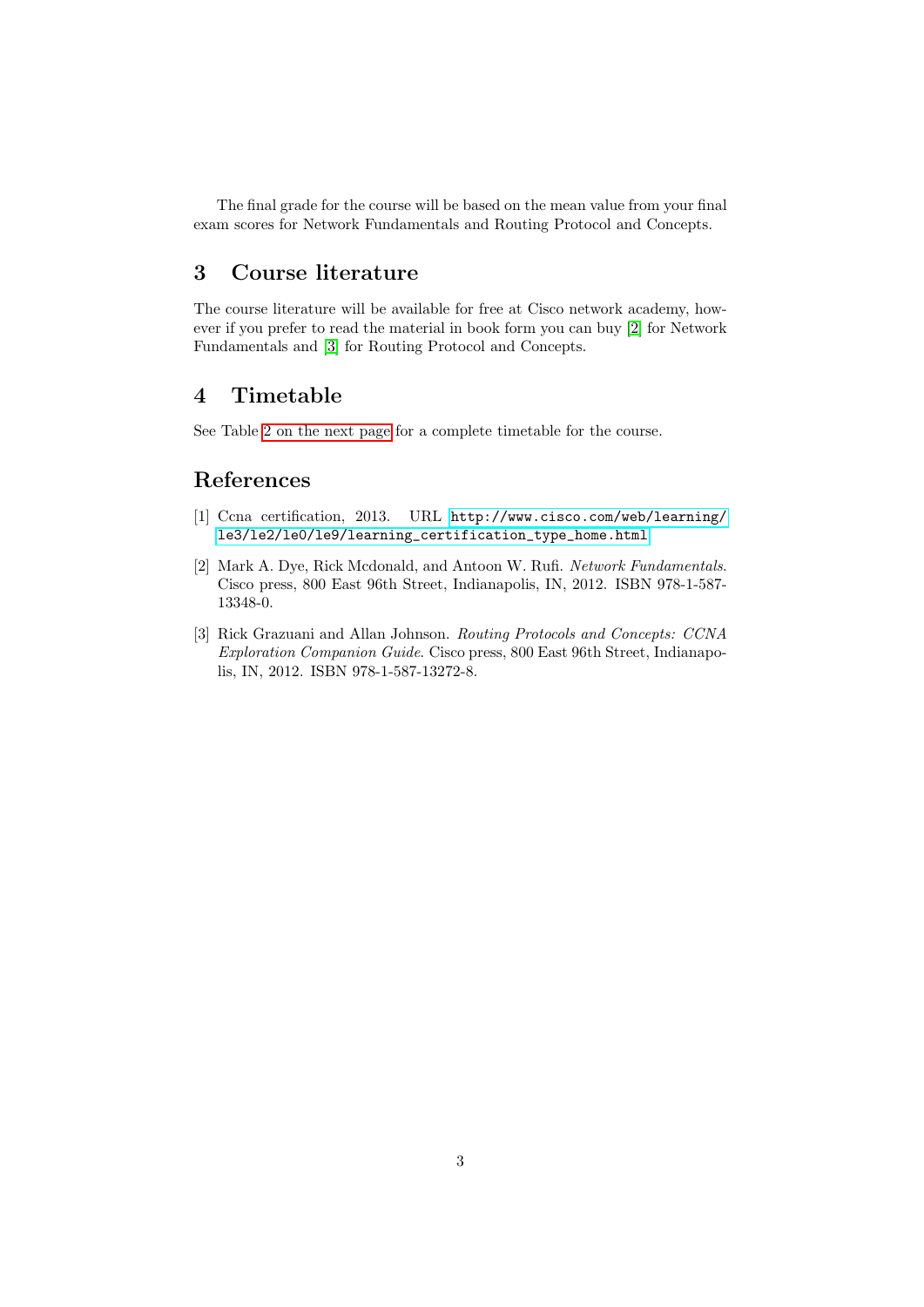The final grade for the course will be based on the mean value from your final exam scores for Network Fundamentals and Routing Protocol and Concepts.

### <span id="page-2-0"></span>3 Course literature

The course literature will be available for free at Cisco network academy, however if you prefer to read the material in book form you can buy [\[2\]](#page-2-3) for Network Fundamentals and [\[3\]](#page-2-4) for Routing Protocol and Concepts.

### <span id="page-2-1"></span>4 Timetable

See Table [2 on the next page](#page-3-0) for a complete timetable for the course.

## References

- <span id="page-2-2"></span>[1] Ccna certification, 2013. URL [http://www.cisco.com/web/learning/](http://www.cisco.com/web/learning/le3/le2/le0/le9/learning_certification_type_home.html) [le3/le2/le0/le9/learning\\_certification\\_type\\_home.html](http://www.cisco.com/web/learning/le3/le2/le0/le9/learning_certification_type_home.html).
- <span id="page-2-3"></span>[2] Mark A. Dye, Rick Mcdonald, and Antoon W. Rufi. Network Fundamentals. Cisco press, 800 East 96th Street, Indianapolis, IN, 2012. ISBN 978-1-587- 13348-0.
- <span id="page-2-4"></span>[3] Rick Grazuani and Allan Johnson. Routing Protocols and Concepts: CCNA Exploration Companion Guide. Cisco press, 800 East 96th Street, Indianapolis, IN, 2012. ISBN 978-1-587-13272-8.